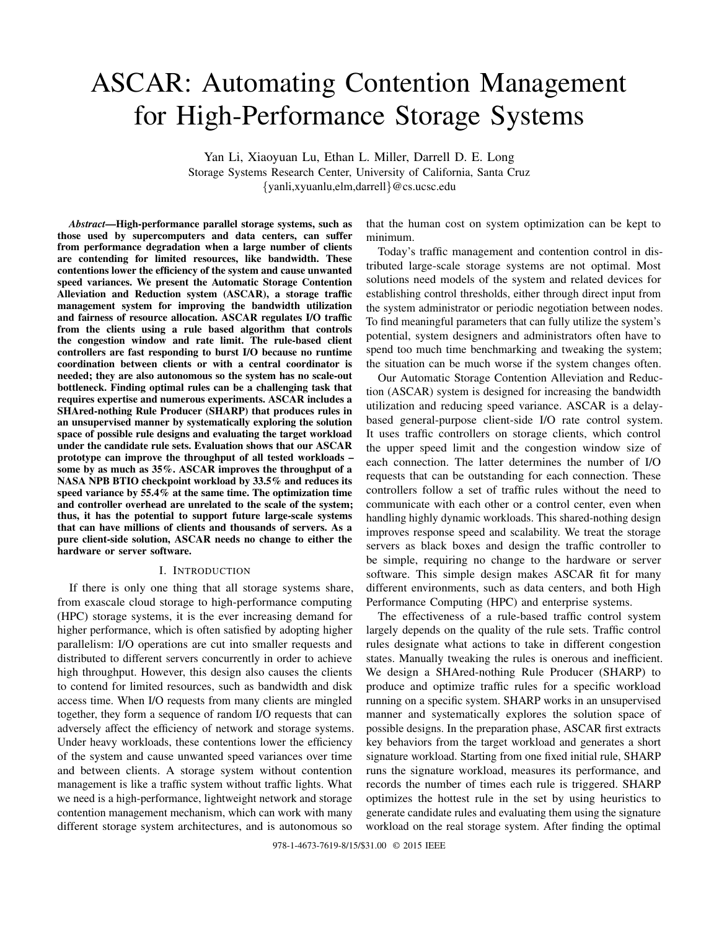# ASCAR: Automating Contention Management for High-Performance Storage Systems

Yan Li, Xiaoyuan Lu, Ethan L. Miller, Darrell D. E. Long Storage Systems Research Center, University of California, Santa Cruz *{*yanli,xyuanlu,elm,darrell*}*@cs.ucsc.edu

*Abstract*—High-performance parallel storage systems, such as those used by supercomputers and data centers, can suffer from performance degradation when a large number of clients are contending for limited resources, like bandwidth. These contentions lower the efficiency of the system and cause unwanted speed variances. We present the Automatic Storage Contention Alleviation and Reduction system (ASCAR), a storage traffic management system for improving the bandwidth utilization and fairness of resource allocation. ASCAR regulates I/O traffic from the clients using a rule based algorithm that controls the congestion window and rate limit. The rule-based client controllers are fast responding to burst I/O because no runtime coordination between clients or with a central coordinator is needed; they are also autonomous so the system has no scale-out bottleneck. Finding optimal rules can be a challenging task that requires expertise and numerous experiments. ASCAR includes a SHAred-nothing Rule Producer (SHARP) that produces rules in an unsupervised manner by systematically exploring the solution space of possible rule designs and evaluating the target workload under the candidate rule sets. Evaluation shows that our ASCAR prototype can improve the throughput of all tested workloads – some by as much as 35%. ASCAR improves the throughput of a NASA NPB BTIO checkpoint workload by 33.5% and reduces its speed variance by 55.4% at the same time. The optimization time and controller overhead are unrelated to the scale of the system; thus, it has the potential to support future large-scale systems that can have millions of clients and thousands of servers. As a pure client-side solution, ASCAR needs no change to either the hardware or server software.

#### I. INTRODUCTION

If there is only one thing that all storage systems share, from exascale cloud storage to high-performance computing (HPC) storage systems, it is the ever increasing demand for higher performance, which is often satisfied by adopting higher parallelism: I/O operations are cut into smaller requests and distributed to different servers concurrently in order to achieve high throughput. However, this design also causes the clients to contend for limited resources, such as bandwidth and disk access time. When I/O requests from many clients are mingled together, they form a sequence of random I/O requests that can adversely affect the efficiency of network and storage systems. Under heavy workloads, these contentions lower the efficiency of the system and cause unwanted speed variances over time and between clients. A storage system without contention management is like a traffic system without traffic lights. What we need is a high-performance, lightweight network and storage contention management mechanism, which can work with many different storage system architectures, and is autonomous so

that the human cost on system optimization can be kept to minimum.

Today's traffic management and contention control in distributed large-scale storage systems are not optimal. Most solutions need models of the system and related devices for establishing control thresholds, either through direct input from the system administrator or periodic negotiation between nodes. To find meaningful parameters that can fully utilize the system's potential, system designers and administrators often have to spend too much time benchmarking and tweaking the system; the situation can be much worse if the system changes often.

Our Automatic Storage Contention Alleviation and Reduction (ASCAR) system is designed for increasing the bandwidth utilization and reducing speed variance. ASCAR is a delaybased general-purpose client-side I/O rate control system. It uses traffic controllers on storage clients, which control the upper speed limit and the congestion window size of each connection. The latter determines the number of I/O requests that can be outstanding for each connection. These controllers follow a set of traffic rules without the need to communicate with each other or a control center, even when handling highly dynamic workloads. This shared-nothing design improves response speed and scalability. We treat the storage servers as black boxes and design the traffic controller to be simple, requiring no change to the hardware or server software. This simple design makes ASCAR fit for many different environments, such as data centers, and both High Performance Computing (HPC) and enterprise systems.

The effectiveness of a rule-based traffic control system largely depends on the quality of the rule sets. Traffic control rules designate what actions to take in different congestion states. Manually tweaking the rules is onerous and inefficient. We design a SHAred-nothing Rule Producer (SHARP) to produce and optimize traffic rules for a specific workload running on a specific system. SHARP works in an unsupervised manner and systematically explores the solution space of possible designs. In the preparation phase, ASCAR first extracts key behaviors from the target workload and generates a short signature workload. Starting from one fixed initial rule, SHARP runs the signature workload, measures its performance, and records the number of times each rule is triggered. SHARP optimizes the hottest rule in the set by using heuristics to generate candidate rules and evaluating them using the signature workload on the real storage system. After finding the optimal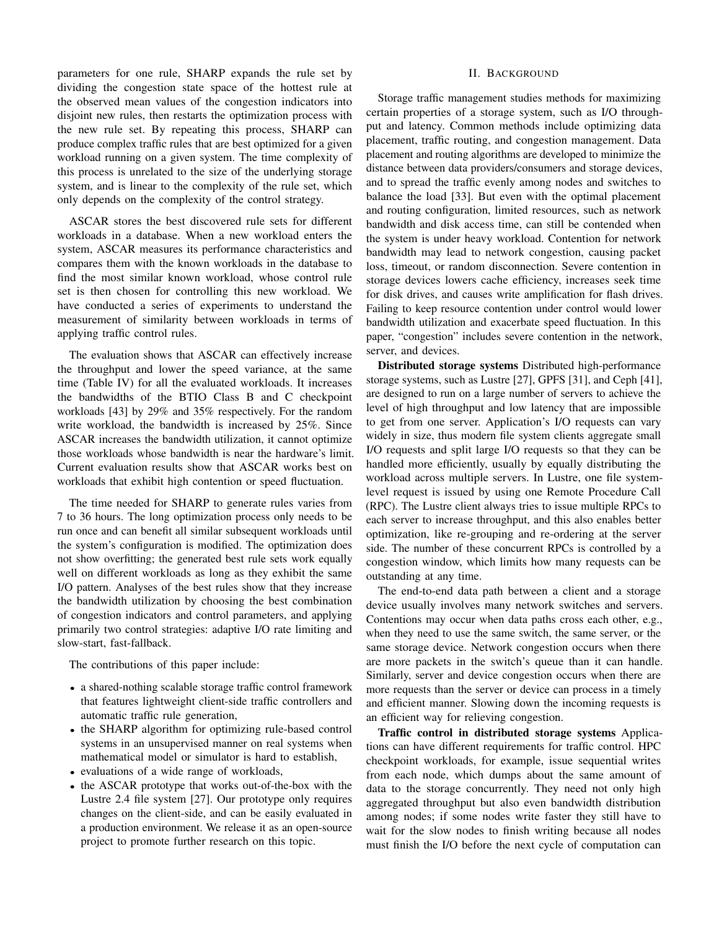parameters for one rule, SHARP expands the rule set by dividing the congestion state space of the hottest rule at the observed mean values of the congestion indicators into disjoint new rules, then restarts the optimization process with the new rule set. By repeating this process, SHARP can produce complex traffic rules that are best optimized for a given workload running on a given system. The time complexity of this process is unrelated to the size of the underlying storage system, and is linear to the complexity of the rule set, which only depends on the complexity of the control strategy.

ASCAR stores the best discovered rule sets for different workloads in a database. When a new workload enters the system, ASCAR measures its performance characteristics and compares them with the known workloads in the database to find the most similar known workload, whose control rule set is then chosen for controlling this new workload. We have conducted a series of experiments to understand the measurement of similarity between workloads in terms of applying traffic control rules.

The evaluation shows that ASCAR can effectively increase the throughput and lower the speed variance, at the same time (Table [IV\)](#page-9-0) for all the evaluated workloads. It increases the bandwidths of the BTIO Class B and C checkpoint workloads [\[43\]](#page-15-0) by 29% and 35% respectively. For the random write workload, the bandwidth is increased by 25%. Since ASCAR increases the bandwidth utilization, it cannot optimize those workloads whose bandwidth is near the hardware's limit. Current evaluation results show that ASCAR works best on workloads that exhibit high contention or speed fluctuation.

The time needed for SHARP to generate rules varies from 7 to 36 hours. The long optimization process only needs to be run once and can benefit all similar subsequent workloads until the system's configuration is modified. The optimization does not show overfitting; the generated best rule sets work equally well on different workloads as long as they exhibit the same I/O pattern. Analyses of the best rules show that they increase the bandwidth utilization by choosing the best combination of congestion indicators and control parameters, and applying primarily two control strategies: adaptive I/O rate limiting and slow-start, fast-fallback.

The contributions of this paper include:

- a shared-nothing scalable storage traffic control framework that features lightweight client-side traffic controllers and automatic traffic rule generation,
- the SHARP algorithm for optimizing rule-based control systems in an unsupervised manner on real systems when mathematical model or simulator is hard to establish,
- evaluations of a wide range of workloads,
- the ASCAR prototype that works out-of-the-box with the Lustre 2.4 file system [\[27\]](#page-14-0). Our prototype only requires changes on the client-side, and can be easily evaluated in a production environment. We release it as an open-source project to promote further research on this topic.

#### II. BACKGROUND

Storage traffic management studies methods for maximizing certain properties of a storage system, such as I/O throughput and latency. Common methods include optimizing data placement, traffic routing, and congestion management. Data placement and routing algorithms are developed to minimize the distance between data providers/consumers and storage devices, and to spread the traffic evenly among nodes and switches to balance the load [\[33\]](#page-15-1). But even with the optimal placement and routing configuration, limited resources, such as network bandwidth and disk access time, can still be contended when the system is under heavy workload. Contention for network bandwidth may lead to network congestion, causing packet loss, timeout, or random disconnection. Severe contention in storage devices lowers cache efficiency, increases seek time for disk drives, and causes write amplification for flash drives. Failing to keep resource contention under control would lower bandwidth utilization and exacerbate speed fluctuation. In this paper, "congestion" includes severe contention in the network, server, and devices.

Distributed storage systems Distributed high-performance storage systems, such as Lustre [\[27\]](#page-14-0), GPFS [\[31\]](#page-15-2), and Ceph [\[41\]](#page-15-3), are designed to run on a large number of servers to achieve the level of high throughput and low latency that are impossible to get from one server. Application's I/O requests can vary widely in size, thus modern file system clients aggregate small I/O requests and split large I/O requests so that they can be handled more efficiently, usually by equally distributing the workload across multiple servers. In Lustre, one file systemlevel request is issued by using one Remote Procedure Call (RPC). The Lustre client always tries to issue multiple RPCs to each server to increase throughput, and this also enables better optimization, like re-grouping and re-ordering at the server side. The number of these concurrent RPCs is controlled by a congestion window, which limits how many requests can be outstanding at any time.

The end-to-end data path between a client and a storage device usually involves many network switches and servers. Contentions may occur when data paths cross each other, e.g., when they need to use the same switch, the same server, or the same storage device. Network congestion occurs when there are more packets in the switch's queue than it can handle. Similarly, server and device congestion occurs when there are more requests than the server or device can process in a timely and efficient manner. Slowing down the incoming requests is an efficient way for relieving congestion.

Traffic control in distributed storage systems Applications can have different requirements for traffic control. HPC checkpoint workloads, for example, issue sequential writes from each node, which dumps about the same amount of data to the storage concurrently. They need not only high aggregated throughput but also even bandwidth distribution among nodes; if some nodes write faster they still have to wait for the slow nodes to finish writing because all nodes must finish the I/O before the next cycle of computation can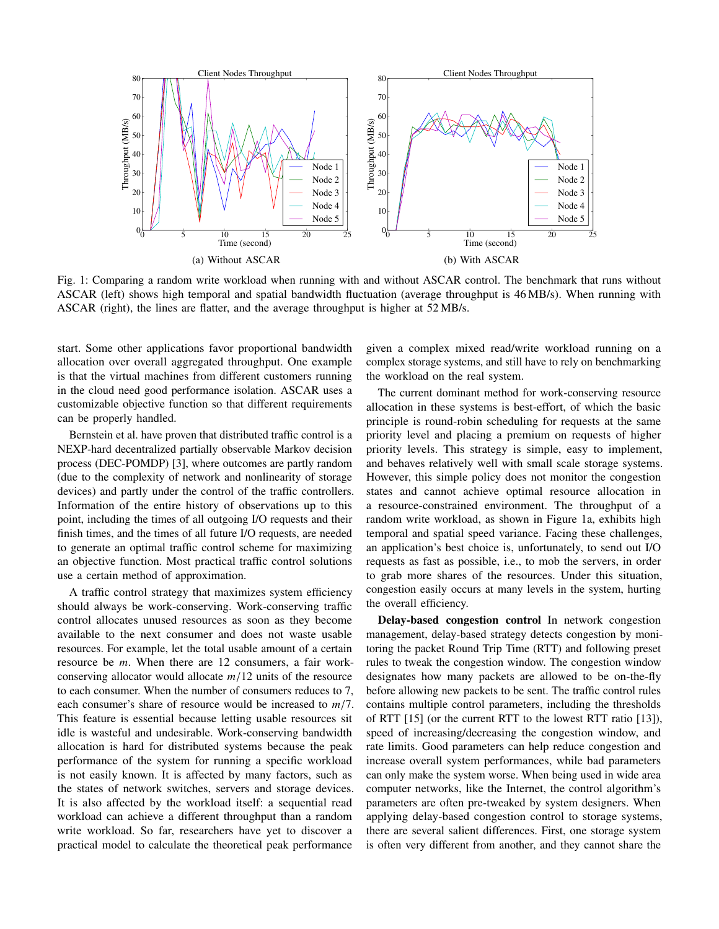<span id="page-2-0"></span>

Fig. 1: Comparing a random write workload when running with and without ASCAR control. The benchmark that runs without ASCAR (left) shows high temporal and spatial bandwidth fluctuation (average throughput is 46 MB/s). When running with ASCAR (right), the lines are flatter, and the average throughput is higher at 52 MB/s.

start. Some other applications favor proportional bandwidth allocation over overall aggregated throughput. One example is that the virtual machines from different customers running in the cloud need good performance isolation. ASCAR uses a customizable objective function so that different requirements can be properly handled.

[Bernstein et al.](#page-13-0) have proven that distributed traffic control is a NEXP-hard decentralized partially observable Markov decision process (DEC-POMDP) [\[3\]](#page-13-0), where outcomes are partly random (due to the complexity of network and nonlinearity of storage devices) and partly under the control of the traffic controllers. Information of the entire history of observations up to this point, including the times of all outgoing I/O requests and their finish times, and the times of all future I/O requests, are needed to generate an optimal traffic control scheme for maximizing an objective function. Most practical traffic control solutions use a certain method of approximation.

A traffic control strategy that maximizes system efficiency should always be work-conserving. Work-conserving traffic control allocates unused resources as soon as they become available to the next consumer and does not waste usable resources. For example, let the total usable amount of a certain resource be *m*. When there are 12 consumers, a fair workconserving allocator would allocate *m*/12 units of the resource to each consumer. When the number of consumers reduces to 7, each consumer's share of resource would be increased to *m*/7. This feature is essential because letting usable resources sit idle is wasteful and undesirable. Work-conserving bandwidth allocation is hard for distributed systems because the peak performance of the system for running a specific workload is not easily known. It is affected by many factors, such as the states of network switches, servers and storage devices. It is also affected by the workload itself: a sequential read workload can achieve a different throughput than a random write workload. So far, researchers have yet to discover a practical model to calculate the theoretical peak performance

given a complex mixed read/write workload running on a complex storage systems, and still have to rely on benchmarking the workload on the real system.

The current dominant method for work-conserving resource allocation in these systems is best-effort, of which the basic principle is round-robin scheduling for requests at the same priority level and placing a premium on requests of higher priority levels. This strategy is simple, easy to implement, and behaves relatively well with small scale storage systems. However, this simple policy does not monitor the congestion states and cannot achieve optimal resource allocation in a resource-constrained environment. The throughput of a random write workload, as shown in Figure [1a,](#page-2-0) exhibits high temporal and spatial speed variance. Facing these challenges, an application's best choice is, unfortunately, to send out I/O requests as fast as possible, i.e., to mob the servers, in order to grab more shares of the resources. Under this situation, congestion easily occurs at many levels in the system, hurting the overall efficiency.

Delay-based congestion control In network congestion management, delay-based strategy detects congestion by monitoring the packet Round Trip Time (RTT) and following preset rules to tweak the congestion window. The congestion window designates how many packets are allowed to be on-the-fly before allowing new packets to be sent. The traffic control rules contains multiple control parameters, including the thresholds of RTT [\[15\]](#page-14-1) (or the current RTT to the lowest RTT ratio [\[13\]](#page-14-2)), speed of increasing/decreasing the congestion window, and rate limits. Good parameters can help reduce congestion and increase overall system performances, while bad parameters can only make the system worse. When being used in wide area computer networks, like the Internet, the control algorithm's parameters are often pre-tweaked by system designers. When applying delay-based congestion control to storage systems, there are several salient differences. First, one storage system is often very different from another, and they cannot share the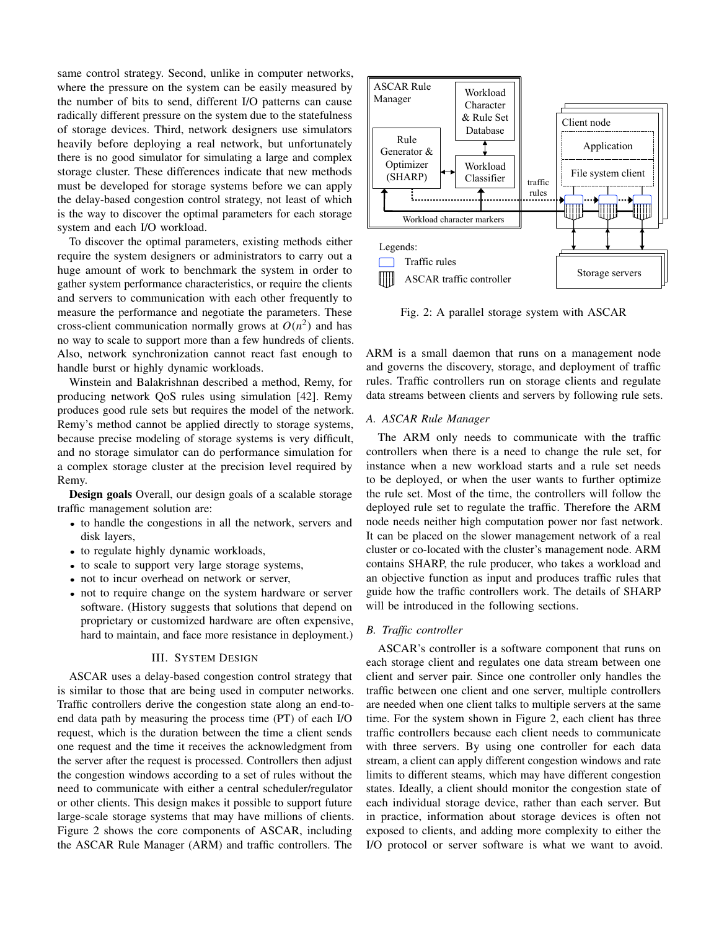same control strategy. Second, unlike in computer networks, where the pressure on the system can be easily measured by the number of bits to send, different I/O patterns can cause radically different pressure on the system due to the statefulness of storage devices. Third, network designers use simulators heavily before deploying a real network, but unfortunately there is no good simulator for simulating a large and complex storage cluster. These differences indicate that new methods must be developed for storage systems before we can apply the delay-based congestion control strategy, not least of which is the way to discover the optimal parameters for each storage system and each I/O workload.

To discover the optimal parameters, existing methods either require the system designers or administrators to carry out a huge amount of work to benchmark the system in order to gather system performance characteristics, or require the clients and servers to communication with each other frequently to measure the performance and negotiate the parameters. These cross-client communication normally grows at  $O(n^2)$  and has no way to scale to support more than a few hundreds of clients. Also, network synchronization cannot react fast enough to handle burst or highly dynamic workloads.

[Winstein and Balakrishnan](#page-15-4) described a method, Remy, for producing network QoS rules using simulation [\[42\]](#page-15-4). Remy produces good rule sets but requires the model of the network. Remy's method cannot be applied directly to storage systems, because precise modeling of storage systems is very difficult, and no storage simulator can do performance simulation for a complex storage cluster at the precision level required by Remy.

Design goals Overall, our design goals of a scalable storage traffic management solution are:

- to handle the congestions in all the network, servers and disk layers,
- to regulate highly dynamic workloads,
- to scale to support very large storage systems,
- not to incur overhead on network or server,
- not to require change on the system hardware or server software. (History suggests that solutions that depend on proprietary or customized hardware are often expensive, hard to maintain, and face more resistance in deployment.)

# III. SYSTEM DESIGN

ASCAR uses a delay-based congestion control strategy that is similar to those that are being used in computer networks. Traffic controllers derive the congestion state along an end-toend data path by measuring the process time (PT) of each I/O request, which is the duration between the time a client sends one request and the time it receives the acknowledgment from the server after the request is processed. Controllers then adjust the congestion windows according to a set of rules without the need to communicate with either a central scheduler/regulator or other clients. This design makes it possible to support future large-scale storage systems that may have millions of clients. Figure [2](#page-3-0) shows the core components of ASCAR, including the ASCAR Rule Manager (ARM) and traffic controllers. The

<span id="page-3-0"></span>

Fig. 2: A parallel storage system with ASCAR

ARM is a small daemon that runs on a management node and governs the discovery, storage, and deployment of traffic rules. Traffic controllers run on storage clients and regulate data streams between clients and servers by following rule sets.

#### *A. ASCAR Rule Manager*

The ARM only needs to communicate with the traffic controllers when there is a need to change the rule set, for instance when a new workload starts and a rule set needs to be deployed, or when the user wants to further optimize the rule set. Most of the time, the controllers will follow the deployed rule set to regulate the traffic. Therefore the ARM node needs neither high computation power nor fast network. It can be placed on the slower management network of a real cluster or co-located with the cluster's management node. ARM contains SHARP, the rule producer, who takes a workload and an objective function as input and produces traffic rules that guide how the traffic controllers work. The details of SHARP will be introduced in the following sections.

## *B. Traffic controller*

ASCAR's controller is a software component that runs on each storage client and regulates one data stream between one client and server pair. Since one controller only handles the traffic between one client and one server, multiple controllers are needed when one client talks to multiple servers at the same time. For the system shown in Figure [2,](#page-3-0) each client has three traffic controllers because each client needs to communicate with three servers. By using one controller for each data stream, a client can apply different congestion windows and rate limits to different steams, which may have different congestion states. Ideally, a client should monitor the congestion state of each individual storage device, rather than each server. But in practice, information about storage devices is often not exposed to clients, and adding more complexity to either the I/O protocol or server software is what we want to avoid.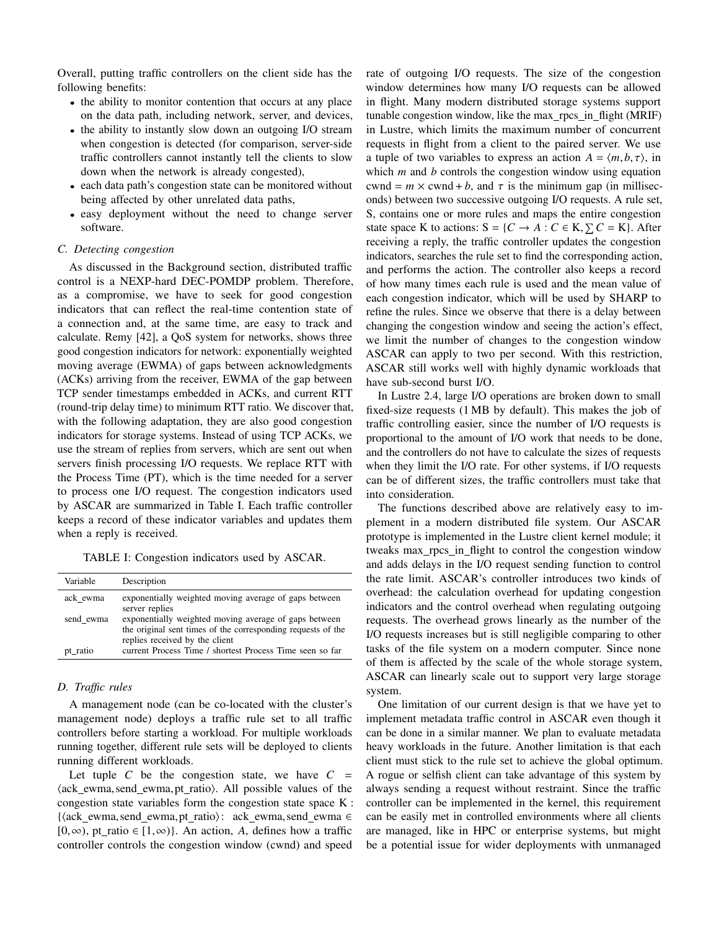Overall, putting traffic controllers on the client side has the following benefits:

- the ability to monitor contention that occurs at any place on the data path, including network, server, and devices,
- the ability to instantly slow down an outgoing I/O stream when congestion is detected (for comparison, server-side traffic controllers cannot instantly tell the clients to slow down when the network is already congested),
- each data path's congestion state can be monitored without being affected by other unrelated data paths,
- easy deployment without the need to change server software.

#### *C. Detecting congestion*

As discussed in the Background section, distributed traffic control is a NEXP-hard DEC-POMDP problem. Therefore, as a compromise, we have to seek for good congestion indicators that can reflect the real-time contention state of a connection and, at the same time, are easy to track and calculate. Remy [\[42\]](#page-15-4), a QoS system for networks, shows three good congestion indicators for network: exponentially weighted moving average (EWMA) of gaps between acknowledgments (ACKs) arriving from the receiver, EWMA of the gap between TCP sender timestamps embedded in ACKs, and current RTT (round-trip delay time) to minimum RTT ratio. We discover that, with the following adaptation, they are also good congestion indicators for storage systems. Instead of using TCP ACKs, we use the stream of replies from servers, which are sent out when servers finish processing I/O requests. We replace RTT with the Process Time (PT), which is the time needed for a server to process one I/O request. The congestion indicators used by ASCAR are summarized in Table [I.](#page-4-0) Each traffic controller keeps a record of these indicator variables and updates them when a reply is received.

TABLE I: Congestion indicators used by ASCAR.

<span id="page-4-0"></span>

| Variable  | Description                                                                                                                                             |
|-----------|---------------------------------------------------------------------------------------------------------------------------------------------------------|
| ack ewma  | exponentially weighted moving average of gaps between<br>server replies                                                                                 |
| send ewma | exponentially weighted moving average of gaps between<br>the original sent times of the corresponding requests of the<br>replies received by the client |
| pt_ratio  | current Process Time / shortest Process Time seen so far                                                                                                |

#### *D. Traffic rules*

A management node (can be co-located with the cluster's management node) deploys a traffic rule set to all traffic controllers before starting a workload. For multiple workloads running together, different rule sets will be deployed to clients running different workloads.

Let tuple  $C$  be the congestion state, we have  $C =$  $\langle \text{ack} \rangle$  ewma, send ewma, pt ratio). All possible values of the congestion state variables form the congestion state space K :  $\{\langle \text{ack\_ewma}, \text{send\_ewma}, \text{pt\_ratio} \rangle : \text{ack\_ewma}, \text{send\_ewma} \in \mathbb{R} \}$  $[0,\infty)$ , pt\_ratio  $\in [1,\infty)$ . An action, *A*, defines how a traffic controller controls the congestion window (cwnd) and speed

rate of outgoing I/O requests. The size of the congestion window determines how many I/O requests can be allowed in flight. Many modern distributed storage systems support tunable congestion window, like the max\_rpcs\_in\_flight (MRIF) in Lustre, which limits the maximum number of concurrent requests in flight from a client to the paired server. We use a tuple of two variables to express an action  $A = \langle m, b, \tau \rangle$ , in which *m* and *b* controls the congestion window using equation cwnd =  $m \times$  cwnd + *b*, and  $\tau$  is the minimum gap (in milliseconds) between two successive outgoing I/O requests. A rule set, S, contains one or more rules and maps the entire congestion state space K to actions:  $S = \{C \rightarrow A : C \in K, \sum C = K\}$ . After receiving a reply, the traffic controller updates the congestion indicators, searches the rule set to find the corresponding action, and performs the action. The controller also keeps a record of how many times each rule is used and the mean value of each congestion indicator, which will be used by SHARP to refine the rules. Since we observe that there is a delay between changing the congestion window and seeing the action's effect, we limit the number of changes to the congestion window ASCAR can apply to two per second. With this restriction, ASCAR still works well with highly dynamic workloads that have sub-second burst I/O.

In Lustre 2.4, large I/O operations are broken down to small fixed-size requests (1 MB by default). This makes the job of traffic controlling easier, since the number of I/O requests is proportional to the amount of I/O work that needs to be done, and the controllers do not have to calculate the sizes of requests when they limit the I/O rate. For other systems, if I/O requests can be of different sizes, the traffic controllers must take that into consideration.

The functions described above are relatively easy to implement in a modern distributed file system. Our ASCAR prototype is implemented in the Lustre client kernel module; it tweaks max rpcs in flight to control the congestion window and adds delays in the I/O request sending function to control the rate limit. ASCAR's controller introduces two kinds of overhead: the calculation overhead for updating congestion indicators and the control overhead when regulating outgoing requests. The overhead grows linearly as the number of the I/O requests increases but is still negligible comparing to other tasks of the file system on a modern computer. Since none of them is affected by the scale of the whole storage system, ASCAR can linearly scale out to support very large storage system.

One limitation of our current design is that we have yet to implement metadata traffic control in ASCAR even though it can be done in a similar manner. We plan to evaluate metadata heavy workloads in the future. Another limitation is that each client must stick to the rule set to achieve the global optimum. A rogue or selfish client can take advantage of this system by always sending a request without restraint. Since the traffic controller can be implemented in the kernel, this requirement can be easily met in controlled environments where all clients are managed, like in HPC or enterprise systems, but might be a potential issue for wider deployments with unmanaged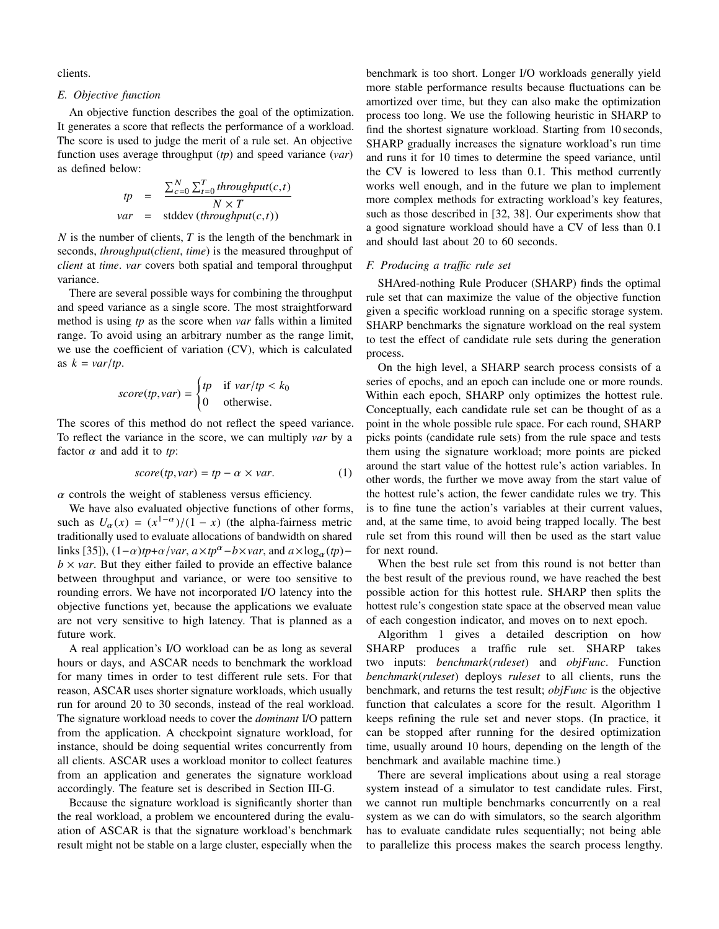clients.

# *E. Objective function*

An objective function describes the goal of the optimization. It generates a score that reflects the performance of a workload. The score is used to judge the merit of a rule set. An objective function uses average throughput (*tp*) and speed variance (*var*) as defined below:

$$
tp = \frac{\sum_{c=0}^{N} \sum_{t=0}^{T} \text{throughput}(c, t)}{N \times T}
$$
  
 
$$
var = \text{stddev}(\text{throughput}(c, t))
$$

*N* is the number of clients, *T* is the length of the benchmark in seconds, *throughput*(*client*, *time*) is the measured throughput of *client* at *time*. *var* covers both spatial and temporal throughput variance.

There are several possible ways for combining the throughput and speed variance as a single score. The most straightforward method is using *tp* as the score when *var* falls within a limited range. To avoid using an arbitrary number as the range limit, we use the coefficient of variation (CV), which is calculated as  $k = \frac{var}{tp}$ .

$$
score(tp, var) = \begin{cases} tp & \text{if } var(tp < k_0 \\ 0 & \text{otherwise.} \end{cases}
$$

The scores of this method do not reflect the speed variance. To reflect the variance in the score, we can multiply *var* by a factor  $\alpha$  and add it to *tp*:

<span id="page-5-0"></span>
$$
score(tp, var) = tp - \alpha \times var. \tag{1}
$$

 $\alpha$  controls the weight of stableness versus efficiency.

We have also evaluated objective functions of other forms, such as  $U_{\alpha}(x) = (x^{1-\alpha})/(1-x)$  (the alpha-fairness metric traditionally used to evaluate allocations of bandwidth on shared links [\[35\]](#page-15-5)),  $(1-\alpha)tp+\alpha/var$ ,  $a \times tp^{\alpha} - b \times var$ , and  $a \times \log_{\alpha}(tp)$  $b \times var$ . But they either failed to provide an effective balance between throughput and variance, or were too sensitive to rounding errors. We have not incorporated I/O latency into the objective functions yet, because the applications we evaluate are not very sensitive to high latency. That is planned as a future work.

A real application's I/O workload can be as long as several hours or days, and ASCAR needs to benchmark the workload for many times in order to test different rule sets. For that reason, ASCAR uses shorter signature workloads, which usually run for around 20 to 30 seconds, instead of the real workload. The signature workload needs to cover the *dominant* I/O pattern from the application. A checkpoint signature workload, for instance, should be doing sequential writes concurrently from all clients. ASCAR uses a workload monitor to collect features from an application and generates the signature workload accordingly. The feature set is described in Section [III-G.](#page-7-0)

Because the signature workload is significantly shorter than the real workload, a problem we encountered during the evaluation of ASCAR is that the signature workload's benchmark result might not be stable on a large cluster, especially when the

benchmark is too short. Longer I/O workloads generally yield more stable performance results because fluctuations can be amortized over time, but they can also make the optimization process too long. We use the following heuristic in SHARP to find the shortest signature workload. Starting from 10 seconds, SHARP gradually increases the signature workload's run time and runs it for 10 times to determine the speed variance, until the CV is lowered to less than 0.1. This method currently works well enough, and in the future we plan to implement more complex methods for extracting workload's key features, such as those described in [\[32,](#page-15-6) [38\]](#page-15-7). Our experiments show that a good signature workload should have a CV of less than 0.1 and should last about 20 to 60 seconds.

#### *F. Producing a traffic rule set*

SHAred-nothing Rule Producer (SHARP) finds the optimal rule set that can maximize the value of the objective function given a specific workload running on a specific storage system. SHARP benchmarks the signature workload on the real system to test the effect of candidate rule sets during the generation process.

On the high level, a SHARP search process consists of a series of epochs, and an epoch can include one or more rounds. Within each epoch, SHARP only optimizes the hottest rule. Conceptually, each candidate rule set can be thought of as a point in the whole possible rule space. For each round, SHARP picks points (candidate rule sets) from the rule space and tests them using the signature workload; more points are picked around the start value of the hottest rule's action variables. In other words, the further we move away from the start value of the hottest rule's action, the fewer candidate rules we try. This is to fine tune the action's variables at their current values, and, at the same time, to avoid being trapped locally. The best rule set from this round will then be used as the start value for next round.

When the best rule set from this round is not better than the best result of the previous round, we have reached the best possible action for this hottest rule. SHARP then splits the hottest rule's congestion state space at the observed mean value of each congestion indicator, and moves on to next epoch.

Algorithm [1](#page-6-0) gives a detailed description on how SHARP produces a traffic rule set. SHARP takes two inputs: *benchmark*(*ruleset*) and *objFunc*. Function *benchmark*(*ruleset*) deploys *ruleset* to all clients, runs the benchmark, and returns the test result; *objFunc* is the objective function that calculates a score for the result. Algorithm [1](#page-6-0) keeps refining the rule set and never stops. (In practice, it can be stopped after running for the desired optimization time, usually around 10 hours, depending on the length of the benchmark and available machine time.)

There are several implications about using a real storage system instead of a simulator to test candidate rules. First, we cannot run multiple benchmarks concurrently on a real system as we can do with simulators, so the search algorithm has to evaluate candidate rules sequentially; not being able to parallelize this process makes the search process lengthy.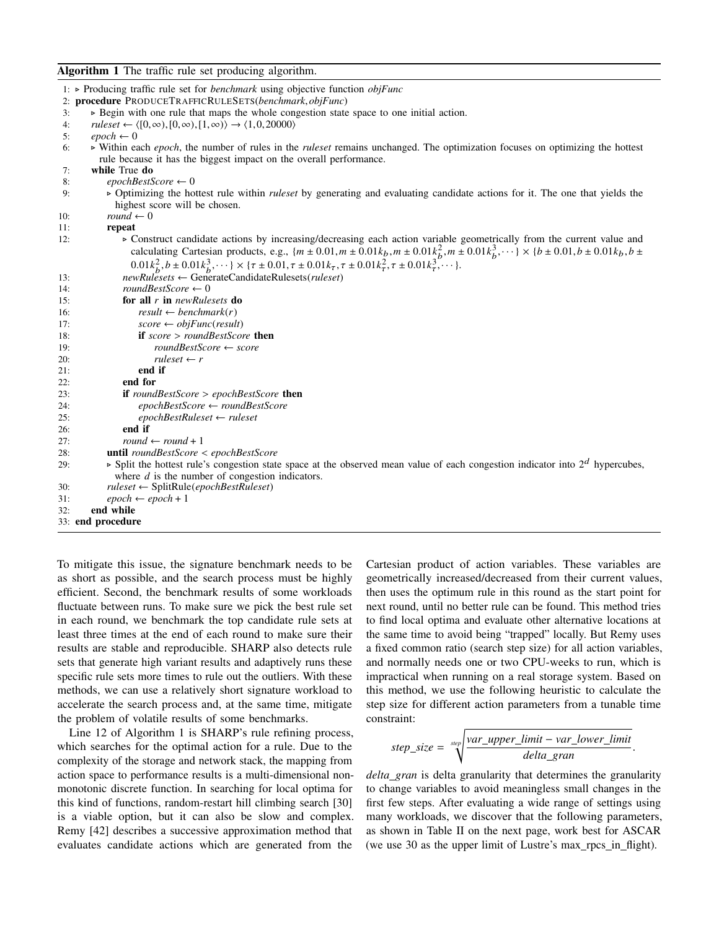#### <span id="page-6-0"></span>Algorithm 1 The traffic rule set producing algorithm.

| 2: procedure PRODUCETRAFFICRULESETS(benchmark,objFunc)                                                                                                                |  |
|-----------------------------------------------------------------------------------------------------------------------------------------------------------------------|--|
| > Begin with one rule that maps the whole congestion state space to one initial action.<br>3:                                                                         |  |
| $ruleset \leftarrow \langle [0, \infty), [0, \infty), [1, \infty) \rangle \rightarrow \langle 1, 0, 20000 \rangle$<br>4:                                              |  |
| $epoch \leftarrow 0$<br>5:                                                                                                                                            |  |
| > Within each <i>epoch</i> , the number of rules in the <i>ruleset</i> remains unchanged. The optimization focuses on optimizing the hottest<br>6:                    |  |
| rule because it has the biggest impact on the overall performance.                                                                                                    |  |
| while True do<br>7:                                                                                                                                                   |  |
| $epochBestScore \leftarrow 0$<br>8:                                                                                                                                   |  |
| > Optimizing the hottest rule within <i>ruleset</i> by generating and evaluating candidate actions for it. The one that yields the<br>9:                              |  |
| highest score will be chosen.                                                                                                                                         |  |
| round $\leftarrow 0$<br>10:                                                                                                                                           |  |
| repeat<br>11:                                                                                                                                                         |  |
| > Construct candidate actions by increasing/decreasing each action variable geometrically from the current value and<br>12:                                           |  |
| calculating Cartesian products, e.g., $\{m \pm 0.01, m \pm 0.01k_b, m \pm 0.01k_b^2, m \pm 0.01k_b^3, \cdots\} \times \{b \pm 0.01, b \pm 0.01k_b, b \pm 0.01k_b\}$   |  |
| $0.01k_b^2$ , $b \pm 0.01k_b^3$ , $\cdots$ $\times$ { $\tau \pm 0.01$ , $\tau \pm 0.01k_{\tau}$ , $\tau \pm 0.01k_{\tau}^2$ , $\tau \pm 0.01k_{\tau}^3$ , $\cdots$ }. |  |
| $newRules$ $\leftarrow$ GenerateCandidateRulesets( <i>ruleset</i> )<br>13:                                                                                            |  |
| roundBestScore $\leftarrow 0$<br>14:                                                                                                                                  |  |
| for all $r$ in new Rulesets do<br>15:                                                                                                                                 |  |
| $result \leftarrow benchmark(r)$<br>16:                                                                                                                               |  |
| 17:<br>$score \leftarrow objFunc(result)$                                                                                                                             |  |
| <b>if</b> score $>$ round Best Score then<br>18:                                                                                                                      |  |
| roundBestScore $\leftarrow$ score<br>19:                                                                                                                              |  |
| 20:<br>ruleset $\leftarrow r$                                                                                                                                         |  |
| end if<br>21:                                                                                                                                                         |  |
| end for<br>22:                                                                                                                                                        |  |
| 23:<br>if roundBestScore > epochBestScore then                                                                                                                        |  |
| 24:<br>$epochBestScore \leftarrow roundBestScore$                                                                                                                     |  |
| 25:<br>$epochBestRules$ $\leftarrow$ ruleset                                                                                                                          |  |
| end if<br>26:                                                                                                                                                         |  |
| round $\leftarrow$ round + 1<br>27:                                                                                                                                   |  |
| <b>until</b> roundBestScore $\lt$ epochBestScore<br>28:                                                                                                               |  |
| > Split the hottest rule's congestion state space at the observed mean value of each congestion indicator into $2^d$ hypercubes,<br>29:                               |  |
| where $d$ is the number of congestion indicators.                                                                                                                     |  |
| 30:<br>$rule set \leftarrow SplitRule(epochBestRuleset)$                                                                                                              |  |
| $epoch \leftarrow epoch + 1$<br>31:                                                                                                                                   |  |
| end while<br>32:                                                                                                                                                      |  |
| 33: end procedure                                                                                                                                                     |  |

To mitigate this issue, the signature benchmark needs to be as short as possible, and the search process must be highly efficient. Second, the benchmark results of some workloads fluctuate between runs. To make sure we pick the best rule set in each round, we benchmark the top candidate rule sets at least three times at the end of each round to make sure their results are stable and reproducible. SHARP also detects rule sets that generate high variant results and adaptively runs these specific rule sets more times to rule out the outliers. With these methods, we can use a relatively short signature workload to accelerate the search process and, at the same time, mitigate the problem of volatile results of some benchmarks.

Line [12](#page-6-0) of Algorithm [1](#page-6-0) is SHARP's rule refining process, which searches for the optimal action for a rule. Due to the complexity of the storage and network stack, the mapping from action space to performance results is a multi-dimensional nonmonotonic discrete function. In searching for local optima for this kind of functions, random-restart hill climbing search [\[30\]](#page-15-8) is a viable option, but it can also be slow and complex. Remy [\[42\]](#page-15-4) describes a successive approximation method that evaluates candidate actions which are generated from the

Cartesian product of action variables. These variables are geometrically increased/decreased from their current values, then uses the optimum rule in this round as the start point for next round, until no better rule can be found. This method tries to find local optima and evaluate other alternative locations at the same time to avoid being "trapped" locally. But Remy uses a fixed common ratio (search step size) for all action variables, and normally needs one or two CPU-weeks to run, which is impractical when running on a real storage system. Based on this method, we use the following heuristic to calculate the step size for different action parameters from a tunable time constraint:

$$
step\_size = \sqrt[step]{\frac{var\_upper\_limit - var\_lower\_limit}{delta\_gram}}.
$$

*delta gran* is delta granularity that determines the granularity to change variables to avoid meaningless small changes in the first few steps. After evaluating a wide range of settings using many workloads, we discover that the following parameters, as shown in Table [II on the next page,](#page-7-1) work best for ASCAR (we use 30 as the upper limit of Lustre's max\_rpcs\_in\_flight).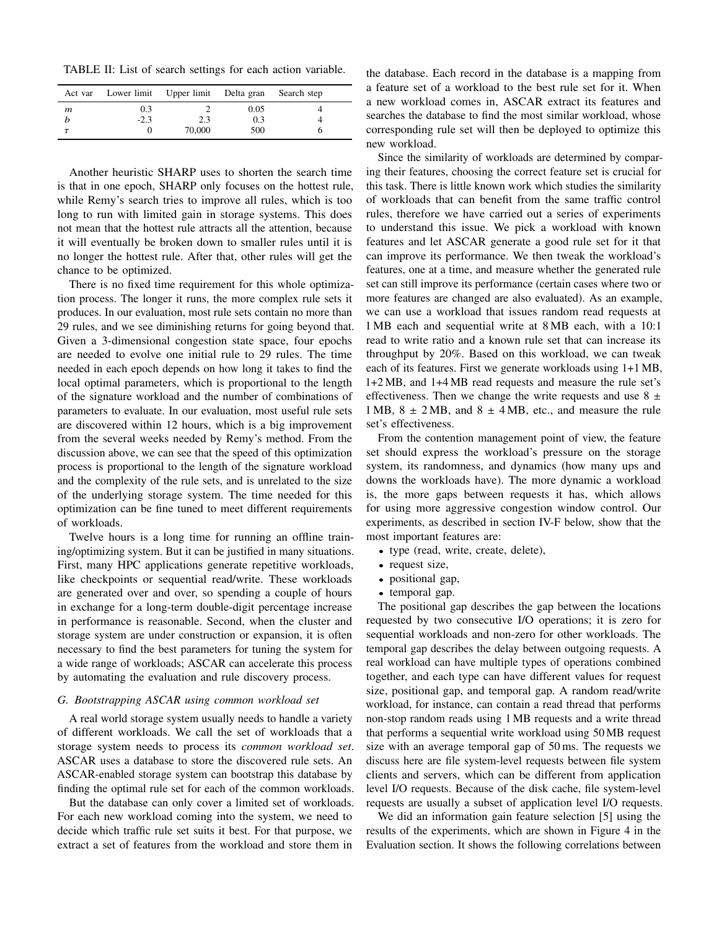<span id="page-7-1"></span>TABLE II: List of search settings for each action variable.

|   | Act var Lower limit Upper limit Delta gran Search step |        |      |  |
|---|--------------------------------------------------------|--------|------|--|
| m | 0.3                                                    |        | 0.05 |  |
|   | $-2.3$                                                 | 2.3    | 0.3  |  |
|   |                                                        | 70,000 | 500  |  |

Another heuristic SHARP uses to shorten the search time is that in one epoch, SHARP only focuses on the hottest rule, while Remy's search tries to improve all rules, which is too long to run with limited gain in storage systems. This does not mean that the hottest rule attracts all the attention, because it will eventually be broken down to smaller rules until it is no longer the hottest rule. After that, other rules will get the chance to be optimized.

There is no fixed time requirement for this whole optimization process. The longer it runs, the more complex rule sets it produces. In our evaluation, most rule sets contain no more than 29 rules, and we see diminishing returns for going beyond that. Given a 3-dimensional congestion state space, four epochs are needed to evolve one initial rule to 29 rules. The time needed in each epoch depends on how long it takes to find the local optimal parameters, which is proportional to the length of the signature workload and the number of combinations of parameters to evaluate. In our evaluation, most useful rule sets are discovered within 12 hours, which is a big improvement from the several weeks needed by Remy's method. From the discussion above, we can see that the speed of this optimization process is proportional to the length of the signature workload and the complexity of the rule sets, and is unrelated to the size of the underlying storage system. The time needed for this optimization can be fine tuned to meet different requirements of workloads.

Twelve hours is a long time for running an offline training/optimizing system. But it can be justified in many situations. First, many HPC applications generate repetitive workloads, like checkpoints or sequential read/write. These workloads are generated over and over, so spending a couple of hours in exchange for a long-term double-digit percentage increase in performance is reasonable. Second, when the cluster and storage system are under construction or expansion, it is often necessary to find the best parameters for tuning the system for a wide range of workloads; ASCAR can accelerate this process by automating the evaluation and rule discovery process.

#### <span id="page-7-0"></span>*G. Bootstrapping ASCAR using common workload set*

A real world storage system usually needs to handle a variety of different workloads. We call the set of workloads that a storage system needs to process its *common workload set*. ASCAR uses a database to store the discovered rule sets. An ASCAR-enabled storage system can bootstrap this database by finding the optimal rule set for each of the common workloads.

But the database can only cover a limited set of workloads. For each new workload coming into the system, we need to decide which traffic rule set suits it best. For that purpose, we extract a set of features from the workload and store them in

the database. Each record in the database is a mapping from a feature set of a workload to the best rule set for it. When a new workload comes in, ASCAR extract its features and searches the database to find the most similar workload, whose corresponding rule set will then be deployed to optimize this new workload.

Since the similarity of workloads are determined by comparing their features, choosing the correct feature set is crucial for this task. There is little known work which studies the similarity of workloads that can benefit from the same traffic control rules, therefore we have carried out a series of experiments to understand this issue. We pick a workload with known features and let ASCAR generate a good rule set for it that can improve its performance. We then tweak the workload's features, one at a time, and measure whether the generated rule set can still improve its performance (certain cases where two or more features are changed are also evaluated). As an example, we can use a workload that issues random read requests at 1 MB each and sequential write at 8 MB each, with a 10:1 read to write ratio and a known rule set that can increase its throughput by 20%. Based on this workload, we can tweak each of its features. First we generate workloads using 1+1 MB, 1+2 MB, and 1+4 MB read requests and measure the rule set's effectiveness. Then we change the write requests and use  $8 \pm$ 1 MB,  $8 \pm 2$  MB, and  $8 \pm 4$  MB, etc., and measure the rule set's effectiveness.

From the contention management point of view, the feature set should express the workload's pressure on the storage system, its randomness, and dynamics (how many ups and downs the workloads have). The more dynamic a workload is, the more gaps between requests it has, which allows for using more aggressive congestion window control. Our experiments, as described in section [IV-F](#page-11-0) below, show that the most important features are:

- type (read, write, create, delete),
- request size,
- positional gap,
- temporal gap.

The positional gap describes the gap between the locations requested by two consecutive I/O operations; it is zero for sequential workloads and non-zero for other workloads. The temporal gap describes the delay between outgoing requests. A real workload can have multiple types of operations combined together, and each type can have different values for request size, positional gap, and temporal gap. A random read/write workload, for instance, can contain a read thread that performs non-stop random reads using 1 MB requests and a write thread that performs a sequential write workload using 50 MB request size with an average temporal gap of 50 ms. The requests we discuss here are file system-level requests between file system clients and servers, which can be different from application level I/O requests. Because of the disk cache, file system-level requests are usually a subset of application level I/O requests.

We did an information gain feature selection [\[5\]](#page-13-1) using the results of the experiments, which are shown in Figure [4](#page-11-1) in the Evaluation section. It shows the following correlations between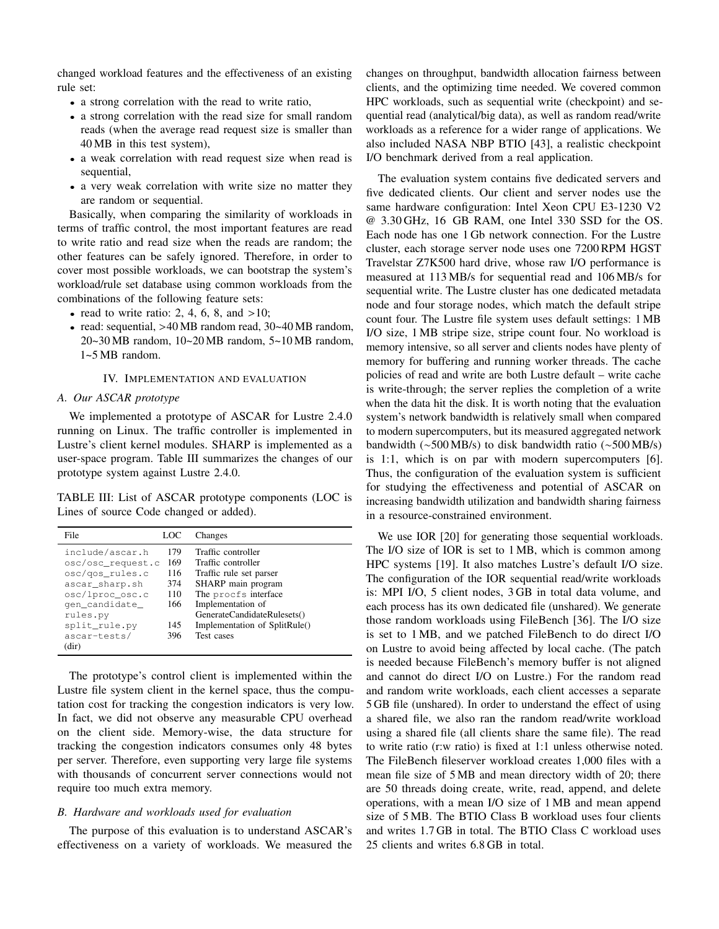changed workload features and the effectiveness of an existing rule set:

- a strong correlation with the read to write ratio,
- a strong correlation with the read size for small random reads (when the average read request size is smaller than 40 MB in this test system),
- a weak correlation with read request size when read is sequential,
- a very weak correlation with write size no matter they are random or sequential.

Basically, when comparing the similarity of workloads in terms of traffic control, the most important features are read to write ratio and read size when the reads are random; the other features can be safely ignored. Therefore, in order to cover most possible workloads, we can bootstrap the system's workload/rule set database using common workloads from the combinations of the following feature sets:

- read to write ratio: 2, 4, 6, 8, and  $>10$ ;
- read: sequential, >40 MB random read, 30~40 MB random, 20~30 MB random, 10~20 MB random, 5~10 MB random, 1~5 MB random.

# IV. IMPLEMENTATION AND EVALUATION

# *A. Our ASCAR prototype*

We implemented a prototype of ASCAR for Lustre 2.4.0 running on Linux. The traffic controller is implemented in Lustre's client kernel modules. SHARP is implemented as a user-space program. Table [III](#page-8-0) summarizes the changes of our prototype system against Lustre 2.4.0.

<span id="page-8-0"></span>TABLE III: List of ASCAR prototype components (LOC is Lines of source Code changed or added).

| File              | LOC | Changes                       |
|-------------------|-----|-------------------------------|
| include/ascar.h   | 179 | Traffic controller            |
| osc/osc_request.c | 169 | Traffic controller            |
| osc/gos rules.c   | 116 | Traffic rule set parser       |
| ascar_sharp.sh    | 374 | SHARP main program            |
| osc/lproc osc.c   | 110 | The procfs interface          |
| gen candidate     | 166 | Implementation of             |
| rules.py          |     | GenerateCandidateRulesets()   |
| split_rule.py     | 145 | Implementation of SplitRule() |
| ascar-tests/      | 396 | Test cases                    |
| (dir)             |     |                               |

The prototype's control client is implemented within the Lustre file system client in the kernel space, thus the computation cost for tracking the congestion indicators is very low. In fact, we did not observe any measurable CPU overhead on the client side. Memory-wise, the data structure for tracking the congestion indicators consumes only 48 bytes per server. Therefore, even supporting very large file systems with thousands of concurrent server connections would not require too much extra memory.

# *B. Hardware and workloads used for evaluation*

The purpose of this evaluation is to understand ASCAR's effectiveness on a variety of workloads. We measured the changes on throughput, bandwidth allocation fairness between clients, and the optimizing time needed. We covered common HPC workloads, such as sequential write (checkpoint) and sequential read (analytical/big data), as well as random read/write workloads as a reference for a wider range of applications. We also included NASA NBP BTIO [\[43\]](#page-15-0), a realistic checkpoint I/O benchmark derived from a real application.

The evaluation system contains five dedicated servers and five dedicated clients. Our client and server nodes use the same hardware configuration: Intel Xeon CPU E3-1230 V2 @ 3.30 GHz, 16 GB RAM, one Intel 330 SSD for the OS. Each node has one 1 Gb network connection. For the Lustre cluster, each storage server node uses one 7200 RPM HGST Travelstar Z7K500 hard drive, whose raw I/O performance is measured at 113 MB/s for sequential read and 106 MB/s for sequential write. The Lustre cluster has one dedicated metadata node and four storage nodes, which match the default stripe count four. The Lustre file system uses default settings: 1 MB I/O size, 1 MB stripe size, stripe count four. No workload is memory intensive, so all server and clients nodes have plenty of memory for buffering and running worker threads. The cache policies of read and write are both Lustre default – write cache is write-through; the server replies the completion of a write when the data hit the disk. It is worth noting that the evaluation system's network bandwidth is relatively small when compared to modern supercomputers, but its measured aggregated network bandwidth ( $\sim$ 500 MB/s) to disk bandwidth ratio ( $\sim$ 500 MB/s) is 1:1, which is on par with modern supercomputers [\[6\]](#page-13-2). Thus, the configuration of the evaluation system is sufficient for studying the effectiveness and potential of ASCAR on increasing bandwidth utilization and bandwidth sharing fairness in a resource-constrained environment.

We use IOR [\[20\]](#page-14-3) for generating those sequential workloads. The I/O size of IOR is set to 1 MB, which is common among HPC systems [\[19\]](#page-14-4). It also matches Lustre's default I/O size. The configuration of the IOR sequential read/write workloads is: MPI I/O, 5 client nodes, 3 GB in total data volume, and each process has its own dedicated file (unshared). We generate those random workloads using FileBench [\[36\]](#page-15-9). The I/O size is set to 1 MB, and we patched FileBench to do direct I/O on Lustre to avoid being affected by local cache. (The patch is needed because FileBench's memory buffer is not aligned and cannot do direct I/O on Lustre.) For the random read and random write workloads, each client accesses a separate 5 GB file (unshared). In order to understand the effect of using a shared file, we also ran the random read/write workload using a shared file (all clients share the same file). The read to write ratio (r:w ratio) is fixed at 1:1 unless otherwise noted. The FileBench fileserver workload creates 1,000 files with a mean file size of 5 MB and mean directory width of 20; there are 50 threads doing create, write, read, append, and delete operations, with a mean I/O size of 1 MB and mean append size of 5 MB. The BTIO Class B workload uses four clients and writes 1.7 GB in total. The BTIO Class C workload uses 25 clients and writes 6.8 GB in total.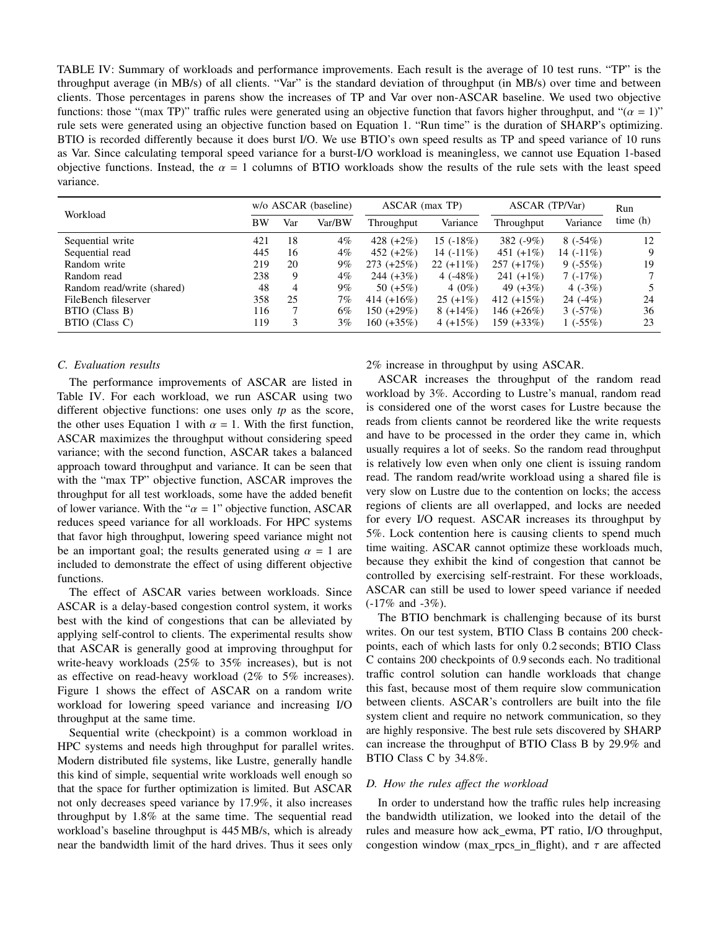<span id="page-9-0"></span>TABLE IV: Summary of workloads and performance improvements. Each result is the average of 10 test runs. "TP" is the throughput average (in MB/s) of all clients. "Var" is the standard deviation of throughput (in MB/s) over time and between clients. Those percentages in parens show the increases of TP and Var over non-ASCAR baseline. We used two objective functions: those "(max TP)" traffic rules were generated using an objective function that favors higher throughput, and " $(\alpha = 1)$ " rule sets were generated using an objective function based on Equation [1.](#page-5-0) "Run time" is the duration of SHARP's optimizing. BTIO is recorded differently because it does burst I/O. We use BTIO's own speed results as TP and speed variance of 10 runs as Var. Since calculating temporal speed variance for a burst-I/O workload is meaningless, we cannot use Equation [1-](#page-5-0)based objective functions. Instead, the  $\alpha = 1$  columns of BTIO workloads show the results of the rule sets with the least speed variance.

| Workload                   | w/o ASCAR (baseline) |     |        | ASCAR (max TP) |              | ASCAR (TP/Var) |              | Run     |  |
|----------------------------|----------------------|-----|--------|----------------|--------------|----------------|--------------|---------|--|
|                            | BW                   | Var | Var/BW | Throughput     | Variance     | Throughput     | Variance     | time(h) |  |
| Sequential write           | 421                  | 18  | $4\%$  | 428 $(+2\%)$   | $15(-18%)$   | 382 $(-9%)$    | 8(.54%)      | 12      |  |
| Sequential read            | 445                  | 16  | $4\%$  | 452 $(+2%)$    | 14 $(-11\%)$ | 451 $(+1\%)$   | 14 $(-11\%)$ | 9       |  |
| Random write               | 219                  | 20  | $9\%$  | $273 (+25%)$   | $22 (+11\%)$ | $257 (+17%)$   | 9(.55%)      | 19      |  |
| Random read                | 238                  | 9   | 4%     | $244 (+3%)$    | 4 $(-48%)$   | 241 $(+1\%)$   | $7(-17%)$    |         |  |
| Random read/write (shared) | 48                   | 4   | $9\%$  | 50 $(+5%)$     | 4 $(0\%)$    | 49 $(+3%)$     | 4 $(-3%)$    |         |  |
| FileBench fileserver       | 358                  | 25  | 7%     | 414 $(+16\%)$  | $25 (+1\%)$  | 412 $(+15\%)$  | 24 $(-4%)$   | 24      |  |
| BTIO (Class B)             | 116                  |     | 6%     | $150 (+29%)$   | $8 (+14%)$   | 146 $(+26%)$   | 3(.57%)      | 36      |  |
| BTIO (Class C)             | 119                  | 3   | $3\%$  | $160 (+35%)$   | 4 $(+15%)$   | $159 (+33\%)$  | 1 $(-55%)$   | 23      |  |

#### *C. Evaluation results*

The performance improvements of ASCAR are listed in Table [IV.](#page-9-0) For each workload, we run ASCAR using two different objective functions: one uses only *tp* as the score, the other uses Equation [1](#page-5-0) with  $\alpha = 1$ . With the first function, ASCAR maximizes the throughput without considering speed variance; with the second function, ASCAR takes a balanced approach toward throughput and variance. It can be seen that with the "max TP" objective function, ASCAR improves the throughput for all test workloads, some have the added benefit of lower variance. With the " $\alpha = 1$ " objective function, ASCAR reduces speed variance for all workloads. For HPC systems that favor high throughput, lowering speed variance might not be an important goal; the results generated using  $\alpha = 1$  are included to demonstrate the effect of using different objective functions.

The effect of ASCAR varies between workloads. Since ASCAR is a delay-based congestion control system, it works best with the kind of congestions that can be alleviated by applying self-control to clients. The experimental results show that ASCAR is generally good at improving throughput for write-heavy workloads (25% to 35% increases), but is not as effective on read-heavy workload (2% to 5% increases). Figure [1](#page-2-0) shows the effect of ASCAR on a random write workload for lowering speed variance and increasing I/O throughput at the same time.

Sequential write (checkpoint) is a common workload in HPC systems and needs high throughput for parallel writes. Modern distributed file systems, like Lustre, generally handle this kind of simple, sequential write workloads well enough so that the space for further optimization is limited. But ASCAR not only decreases speed variance by 17.9%, it also increases throughput by 1.8% at the same time. The sequential read workload's baseline throughput is 445 MB/s, which is already near the bandwidth limit of the hard drives. Thus it sees only

2% increase in throughput by using ASCAR.

ASCAR increases the throughput of the random read workload by 3%. According to Lustre's manual, random read is considered one of the worst cases for Lustre because the reads from clients cannot be reordered like the write requests and have to be processed in the order they came in, which usually requires a lot of seeks. So the random read throughput is relatively low even when only one client is issuing random read. The random read/write workload using a shared file is very slow on Lustre due to the contention on locks; the access regions of clients are all overlapped, and locks are needed for every I/O request. ASCAR increases its throughput by 5%. Lock contention here is causing clients to spend much time waiting. ASCAR cannot optimize these workloads much, because they exhibit the kind of congestion that cannot be controlled by exercising self-restraint. For these workloads, ASCAR can still be used to lower speed variance if needed (-17% and -3%).

The BTIO benchmark is challenging because of its burst writes. On our test system, BTIO Class B contains 200 checkpoints, each of which lasts for only 0.2 seconds; BTIO Class C contains 200 checkpoints of 0.9 seconds each. No traditional traffic control solution can handle workloads that change this fast, because most of them require slow communication between clients. ASCAR's controllers are built into the file system client and require no network communication, so they are highly responsive. The best rule sets discovered by SHARP can increase the throughput of BTIO Class B by 29.9% and BTIO Class C by 34.8%.

# *D. How the rules affect the workload*

In order to understand how the traffic rules help increasing the bandwidth utilization, we looked into the detail of the rules and measure how ack ewma, PT ratio, I/O throughput, congestion window (max\_rpcs\_in\_flight), and  $\tau$  are affected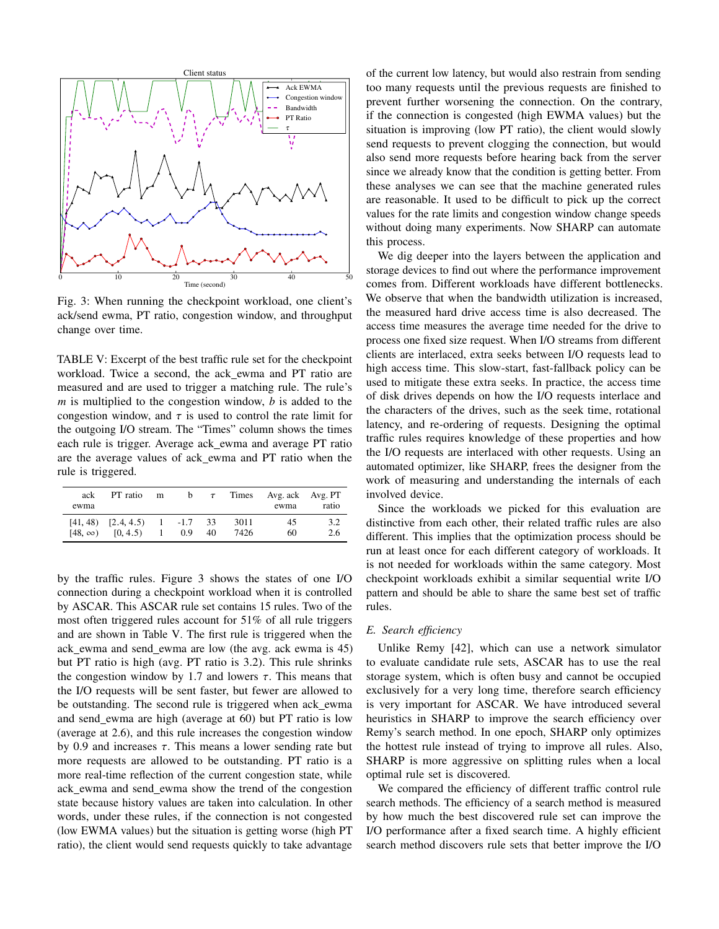<span id="page-10-0"></span>

Fig. 3: When running the checkpoint workload, one client's ack/send ewma, PT ratio, congestion window, and throughput change over time.

<span id="page-10-1"></span>TABLE V: Excerpt of the best traffic rule set for the checkpoint workload. Twice a second, the ack\_ewma and PT ratio are measured and are used to trigger a matching rule. The rule's *m* is multiplied to the congestion window, *b* is added to the congestion window, and  $\tau$  is used to control the rate limit for the outgoing I/O stream. The "Times" column shows the times each rule is trigger. Average ack\_ewma and average PT ratio are the average values of ack\_ewma and PT ratio when the rule is triggered.

| ack<br>ewma    | PT ratio                            | m |                    | b $\tau$ |              | Times Avg. ack Avg. PT<br>ewma | ratio      |
|----------------|-------------------------------------|---|--------------------|----------|--------------|--------------------------------|------------|
| $[48, \infty)$ | $[41, 48)$ $[2.4, 4.5)$<br>[0, 4.5) | 1 | $1 -1.7$ 33<br>0.9 | 40       | 3011<br>7426 | 45<br>60                       | 3.2<br>2.6 |

by the traffic rules. Figure [3](#page-10-0) shows the states of one I/O connection during a checkpoint workload when it is controlled by ASCAR. This ASCAR rule set contains 15 rules. Two of the most often triggered rules account for 51% of all rule triggers and are shown in Table [V.](#page-10-1) The first rule is triggered when the ack ewma and send ewma are low (the avg. ack ewma is 45) but PT ratio is high (avg. PT ratio is 3.2). This rule shrinks the congestion window by 1.7 and lowers  $\tau$ . This means that the I/O requests will be sent faster, but fewer are allowed to be outstanding. The second rule is triggered when ack ewma and send ewma are high (average at 60) but PT ratio is low (average at 2.6), and this rule increases the congestion window by 0.9 and increases  $\tau$ . This means a lower sending rate but more requests are allowed to be outstanding. PT ratio is a more real-time reflection of the current congestion state, while ack ewma and send ewma show the trend of the congestion state because history values are taken into calculation. In other words, under these rules, if the connection is not congested (low EWMA values) but the situation is getting worse (high PT ratio), the client would send requests quickly to take advantage

of the current low latency, but would also restrain from sending too many requests until the previous requests are finished to prevent further worsening the connection. On the contrary, if the connection is congested (high EWMA values) but the situation is improving (low PT ratio), the client would slowly send requests to prevent clogging the connection, but would also send more requests before hearing back from the server since we already know that the condition is getting better. From these analyses we can see that the machine generated rules are reasonable. It used to be difficult to pick up the correct values for the rate limits and congestion window change speeds without doing many experiments. Now SHARP can automate this process.

We dig deeper into the layers between the application and storage devices to find out where the performance improvement comes from. Different workloads have different bottlenecks. We observe that when the bandwidth utilization is increased. the measured hard drive access time is also decreased. The access time measures the average time needed for the drive to process one fixed size request. When I/O streams from different clients are interlaced, extra seeks between I/O requests lead to high access time. This slow-start, fast-fallback policy can be used to mitigate these extra seeks. In practice, the access time of disk drives depends on how the I/O requests interlace and the characters of the drives, such as the seek time, rotational latency, and re-ordering of requests. Designing the optimal traffic rules requires knowledge of these properties and how the I/O requests are interlaced with other requests. Using an automated optimizer, like SHARP, frees the designer from the work of measuring and understanding the internals of each involved device.

Since the workloads we picked for this evaluation are distinctive from each other, their related traffic rules are also different. This implies that the optimization process should be run at least once for each different category of workloads. It is not needed for workloads within the same category. Most checkpoint workloads exhibit a similar sequential write I/O pattern and should be able to share the same best set of traffic rules.

## *E. Search efficiency*

Unlike Remy [\[42\]](#page-15-4), which can use a network simulator to evaluate candidate rule sets, ASCAR has to use the real storage system, which is often busy and cannot be occupied exclusively for a very long time, therefore search efficiency is very important for ASCAR. We have introduced several heuristics in SHARP to improve the search efficiency over Remy's search method. In one epoch, SHARP only optimizes the hottest rule instead of trying to improve all rules. Also, SHARP is more aggressive on splitting rules when a local optimal rule set is discovered.

We compared the efficiency of different traffic control rule search methods. The efficiency of a search method is measured by how much the best discovered rule set can improve the I/O performance after a fixed search time. A highly efficient search method discovers rule sets that better improve the I/O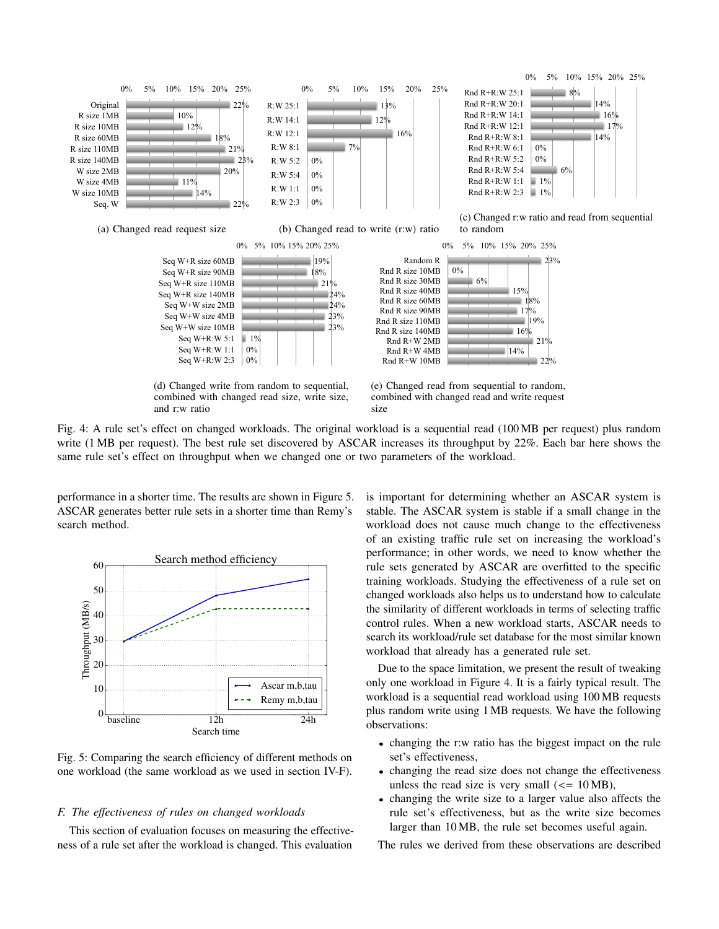<span id="page-11-1"></span>

Fig. 4: A rule set's effect on changed workloads. The original workload is a sequential read (100 MB per request) plus random write (1 MB per request). The best rule set discovered by ASCAR increases its throughput by 22%. Each bar here shows the same rule set's effect on throughput when we changed one or two parameters of the workload.

performance in a shorter time. The results are shown in Figure [5.](#page-11-2) ASCAR generates better rule sets in a shorter time than Remy's search method.

<span id="page-11-2"></span>

Fig. 5: Comparing the search efficiency of different methods on one workload (the same workload as we used in section [IV-F\)](#page-11-0).

#### <span id="page-11-0"></span>*F. The effectiveness of rules on changed workloads*

This section of evaluation focuses on measuring the effectiveness of a rule set after the workload is changed. This evaluation

is important for determining whether an ASCAR system is stable. The ASCAR system is stable if a small change in the workload does not cause much change to the effectiveness of an existing traffic rule set on increasing the workload's performance; in other words, we need to know whether the rule sets generated by ASCAR are overfitted to the specific training workloads. Studying the effectiveness of a rule set on changed workloads also helps us to understand how to calculate the similarity of different workloads in terms of selecting traffic control rules. When a new workload starts, ASCAR needs to search its workload/rule set database for the most similar known workload that already has a generated rule set.

Due to the space limitation, we present the result of tweaking only one workload in Figure [4.](#page-11-1) It is a fairly typical result. The workload is a sequential read workload using 100 MB requests plus random write using 1 MB requests. We have the following observations:

- changing the r:w ratio has the biggest impact on the rule set's effectiveness,
- changing the read size does not change the effectiveness unless the read size is very small  $\ll$  = 10 MB),
- changing the write size to a larger value also affects the rule set's effectiveness, but as the write size becomes larger than 10 MB, the rule set becomes useful again.

The rules we derived from these observations are described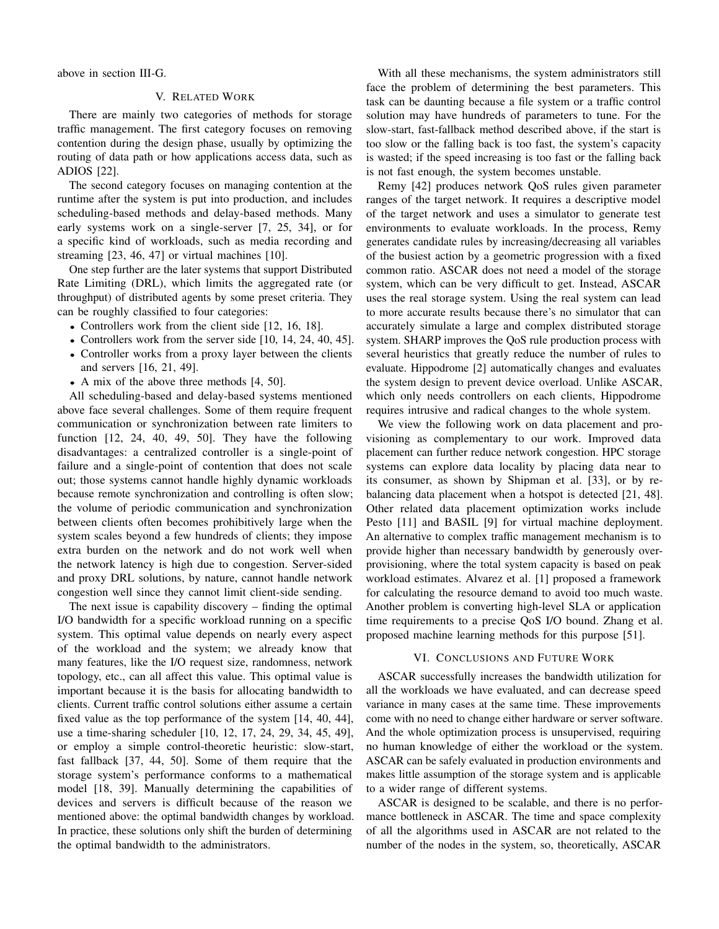above in section [III-G.](#page-7-0)

# V. RELATED WORK

There are mainly two categories of methods for storage traffic management. The first category focuses on removing contention during the design phase, usually by optimizing the routing of data path or how applications access data, such as ADIOS [\[22\]](#page-14-5).

The second category focuses on managing contention at the runtime after the system is put into production, and includes scheduling-based methods and delay-based methods. Many early systems work on a single-server [\[7,](#page-14-6) [25,](#page-14-7) [34\]](#page-15-10), or for a specific kind of workloads, such as media recording and streaming [\[23,](#page-14-8) [46,](#page-15-11) [47\]](#page-15-12) or virtual machines [\[10\]](#page-14-9).

One step further are the later systems that support Distributed Rate Limiting (DRL), which limits the aggregated rate (or throughput) of distributed agents by some preset criteria. They can be roughly classified to four categories:

- Controllers work from the client side [\[12,](#page-14-10) [16,](#page-14-11) [18\]](#page-14-12).
- Controllers work from the server side [\[10,](#page-14-9) [14,](#page-14-13) [24,](#page-14-14) [40,](#page-15-13) [45\]](#page-15-14).
- Controller works from a proxy layer between the clients and servers [\[16,](#page-14-11) [21,](#page-14-15) [49\]](#page-15-15).
- A mix of the above three methods [\[4,](#page-13-3) [50\]](#page-15-16).

All scheduling-based and delay-based systems mentioned above face several challenges. Some of them require frequent communication or synchronization between rate limiters to function [\[12,](#page-14-10) [24,](#page-14-14) [40,](#page-15-13) [49,](#page-15-15) [50\]](#page-15-16). They have the following disadvantages: a centralized controller is a single-point of failure and a single-point of contention that does not scale out; those systems cannot handle highly dynamic workloads because remote synchronization and controlling is often slow; the volume of periodic communication and synchronization between clients often becomes prohibitively large when the system scales beyond a few hundreds of clients; they impose extra burden on the network and do not work well when the network latency is high due to congestion. Server-sided and proxy DRL solutions, by nature, cannot handle network congestion well since they cannot limit client-side sending.

The next issue is capability discovery – finding the optimal I/O bandwidth for a specific workload running on a specific system. This optimal value depends on nearly every aspect of the workload and the system; we already know that many features, like the I/O request size, randomness, network topology, etc., can all affect this value. This optimal value is important because it is the basis for allocating bandwidth to clients. Current traffic control solutions either assume a certain fixed value as the top performance of the system [\[14,](#page-14-13) [40,](#page-15-13) [44\]](#page-15-17), use a time-sharing scheduler [\[10,](#page-14-9) [12,](#page-14-10) [17,](#page-14-16) [24,](#page-14-14) [29,](#page-14-17) [34,](#page-15-10) [45,](#page-15-14) [49\]](#page-15-15), or employ a simple control-theoretic heuristic: slow-start, fast fallback [\[37,](#page-15-18) [44,](#page-15-17) [50\]](#page-15-16). Some of them require that the storage system's performance conforms to a mathematical model [\[18,](#page-14-12) [39\]](#page-15-19). Manually determining the capabilities of devices and servers is difficult because of the reason we mentioned above: the optimal bandwidth changes by workload. In practice, these solutions only shift the burden of determining the optimal bandwidth to the administrators.

With all these mechanisms, the system administrators still face the problem of determining the best parameters. This task can be daunting because a file system or a traffic control solution may have hundreds of parameters to tune. For the slow-start, fast-fallback method described above, if the start is too slow or the falling back is too fast, the system's capacity is wasted; if the speed increasing is too fast or the falling back is not fast enough, the system becomes unstable.

Remy [\[42\]](#page-15-4) produces network QoS rules given parameter ranges of the target network. It requires a descriptive model of the target network and uses a simulator to generate test environments to evaluate workloads. In the process, Remy generates candidate rules by increasing/decreasing all variables of the busiest action by a geometric progression with a fixed common ratio. ASCAR does not need a model of the storage system, which can be very difficult to get. Instead, ASCAR uses the real storage system. Using the real system can lead to more accurate results because there's no simulator that can accurately simulate a large and complex distributed storage system. SHARP improves the QoS rule production process with several heuristics that greatly reduce the number of rules to evaluate. Hippodrome [\[2\]](#page-13-4) automatically changes and evaluates the system design to prevent device overload. Unlike ASCAR, which only needs controllers on each clients, Hippodrome requires intrusive and radical changes to the whole system.

We view the following work on data placement and provisioning as complementary to our work. Improved data placement can further reduce network congestion. HPC storage systems can explore data locality by placing data near to its consumer, as shown by Shipman et al. [\[33\]](#page-15-1), or by rebalancing data placement when a hotspot is detected [\[21,](#page-14-15) [48\]](#page-15-20). Other related data placement optimization works include Pesto [\[11\]](#page-14-18) and BASIL [\[9\]](#page-14-19) for virtual machine deployment. An alternative to complex traffic management mechanism is to provide higher than necessary bandwidth by generously overprovisioning, where the total system capacity is based on peak workload estimates. Alvarez et al. [\[1\]](#page-13-5) proposed a framework for calculating the resource demand to avoid too much waste. Another problem is converting high-level SLA or application time requirements to a precise QoS I/O bound. Zhang et al. proposed machine learning methods for this purpose [\[51\]](#page-15-21).

## VI. CONCLUSIONS AND FUTURE WORK

ASCAR successfully increases the bandwidth utilization for all the workloads we have evaluated, and can decrease speed variance in many cases at the same time. These improvements come with no need to change either hardware or server software. And the whole optimization process is unsupervised, requiring no human knowledge of either the workload or the system. ASCAR can be safely evaluated in production environments and makes little assumption of the storage system and is applicable to a wider range of different systems.

ASCAR is designed to be scalable, and there is no performance bottleneck in ASCAR. The time and space complexity of all the algorithms used in ASCAR are not related to the number of the nodes in the system, so, theoretically, ASCAR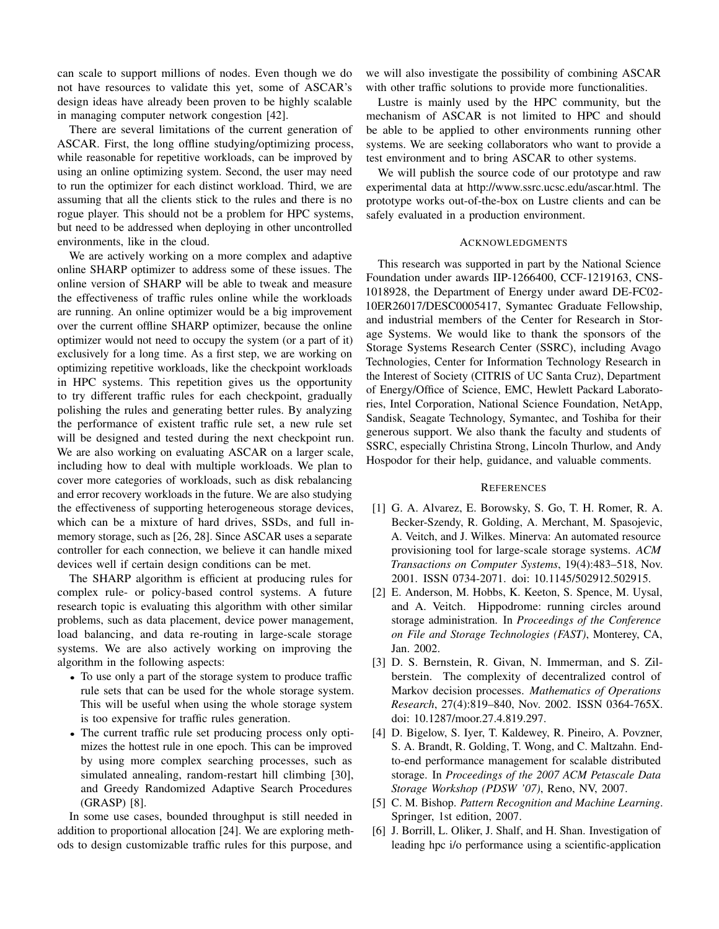can scale to support millions of nodes. Even though we do not have resources to validate this yet, some of ASCAR's design ideas have already been proven to be highly scalable in managing computer network congestion [\[42\]](#page-15-4).

There are several limitations of the current generation of ASCAR. First, the long offline studying/optimizing process, while reasonable for repetitive workloads, can be improved by using an online optimizing system. Second, the user may need to run the optimizer for each distinct workload. Third, we are assuming that all the clients stick to the rules and there is no rogue player. This should not be a problem for HPC systems, but need to be addressed when deploying in other uncontrolled environments, like in the cloud.

We are actively working on a more complex and adaptive online SHARP optimizer to address some of these issues. The online version of SHARP will be able to tweak and measure the effectiveness of traffic rules online while the workloads are running. An online optimizer would be a big improvement over the current offline SHARP optimizer, because the online optimizer would not need to occupy the system (or a part of it) exclusively for a long time. As a first step, we are working on optimizing repetitive workloads, like the checkpoint workloads in HPC systems. This repetition gives us the opportunity to try different traffic rules for each checkpoint, gradually polishing the rules and generating better rules. By analyzing the performance of existent traffic rule set, a new rule set will be designed and tested during the next checkpoint run. We are also working on evaluating ASCAR on a larger scale, including how to deal with multiple workloads. We plan to cover more categories of workloads, such as disk rebalancing and error recovery workloads in the future. We are also studying the effectiveness of supporting heterogeneous storage devices, which can be a mixture of hard drives, SSDs, and full inmemory storage, such as [\[26,](#page-14-20) [28\]](#page-14-21). Since ASCAR uses a separate controller for each connection, we believe it can handle mixed devices well if certain design conditions can be met.

The SHARP algorithm is efficient at producing rules for complex rule- or policy-based control systems. A future research topic is evaluating this algorithm with other similar problems, such as data placement, device power management, load balancing, and data re-routing in large-scale storage systems. We are also actively working on improving the algorithm in the following aspects:

- To use only a part of the storage system to produce traffic rule sets that can be used for the whole storage system. This will be useful when using the whole storage system is too expensive for traffic rules generation.
- The current traffic rule set producing process only optimizes the hottest rule in one epoch. This can be improved by using more complex searching processes, such as simulated annealing, random-restart hill climbing [\[30\]](#page-15-8), and Greedy Randomized Adaptive Search Procedures (GRASP) [\[8\]](#page-14-22).

In some use cases, bounded throughput is still needed in addition to proportional allocation [\[24\]](#page-14-14). We are exploring methods to design customizable traffic rules for this purpose, and

we will also investigate the possibility of combining ASCAR with other traffic solutions to provide more functionalities.

Lustre is mainly used by the HPC community, but the mechanism of ASCAR is not limited to HPC and should be able to be applied to other environments running other systems. We are seeking collaborators who want to provide a test environment and to bring ASCAR to other systems.

We will publish the source code of our prototype and raw experimental data at [http://www.ssrc.ucsc.edu/ascar.html.](http://www.ssrc.ucsc.edu/ascar.html) The prototype works out-of-the-box on Lustre clients and can be safely evaluated in a production environment.

## ACKNOWLEDGMENTS

This research was supported in part by the National Science Foundation under awards IIP-1266400, CCF-1219163, CNS-1018928, the Department of Energy under award DE-FC02- 10ER26017/DESC0005417, Symantec Graduate Fellowship, and industrial members of the Center for Research in Storage Systems. We would like to thank the sponsors of the Storage Systems Research Center (SSRC), including Avago Technologies, Center for Information Technology Research in the Interest of Society (CITRIS of UC Santa Cruz), Department of Energy/Office of Science, EMC, Hewlett Packard Laboratories, Intel Corporation, National Science Foundation, NetApp, Sandisk, Seagate Technology, Symantec, and Toshiba for their generous support. We also thank the faculty and students of SSRC, especially Christina Strong, Lincoln Thurlow, and Andy Hospodor for their help, guidance, and valuable comments.

#### **REFERENCES**

- <span id="page-13-5"></span>[1] G. A. Alvarez, E. Borowsky, S. Go, T. H. Romer, R. A. Becker-Szendy, R. Golding, A. Merchant, M. Spasojevic, A. Veitch, and J. Wilkes. Minerva: An automated resource provisioning tool for large-scale storage systems. *ACM Transactions on Computer Systems*, 19(4):483–518, Nov. 2001. ISSN 0734-2071. doi: 10.1145/502912.502915.
- <span id="page-13-4"></span>[2] E. Anderson, M. Hobbs, K. Keeton, S. Spence, M. Uysal, and A. Veitch. Hippodrome: running circles around storage administration. In *Proceedings of the Conference on File and Storage Technologies (FAST)*, Monterey, CA, Jan. 2002.
- <span id="page-13-0"></span>[3] D. S. Bernstein, R. Givan, N. Immerman, and S. Zilberstein. The complexity of decentralized control of Markov decision processes. *Mathematics of Operations Research*, 27(4):819–840, Nov. 2002. ISSN 0364-765X. doi: 10.1287/moor.27.4.819.297.
- <span id="page-13-3"></span>[4] D. Bigelow, S. Iyer, T. Kaldewey, R. Pineiro, A. Povzner, S. A. Brandt, R. Golding, T. Wong, and C. Maltzahn. Endto-end performance management for scalable distributed storage. In *Proceedings of the 2007 ACM Petascale Data Storage Workshop (PDSW '07)*, Reno, NV, 2007.
- <span id="page-13-1"></span>[5] C. M. Bishop. *Pattern Recognition and Machine Learning*. Springer, 1st edition, 2007.
- <span id="page-13-2"></span>[6] J. Borrill, L. Oliker, J. Shalf, and H. Shan. Investigation of leading hpc i/o performance using a scientific-application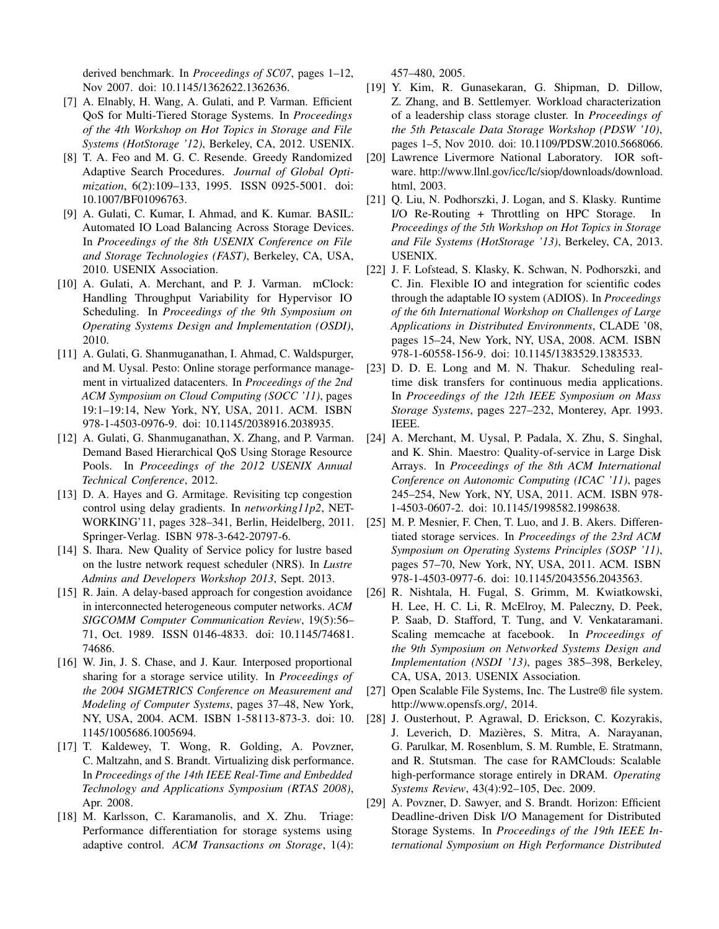derived benchmark. In *Proceedings of SC07*, pages 1–12, Nov 2007. doi: 10.1145/1362622.1362636.

- <span id="page-14-6"></span>[7] A. Elnably, H. Wang, A. Gulati, and P. Varman. Efficient QoS for Multi-Tiered Storage Systems. In *Proceedings of the 4th Workshop on Hot Topics in Storage and File Systems (HotStorage '12)*, Berkeley, CA, 2012. USENIX.
- <span id="page-14-22"></span>[8] T. A. Feo and M. G. C. Resende. Greedy Randomized Adaptive Search Procedures. *Journal of Global Optimization*, 6(2):109–133, 1995. ISSN 0925-5001. doi: 10.1007/BF01096763.
- <span id="page-14-19"></span>[9] A. Gulati, C. Kumar, I. Ahmad, and K. Kumar. BASIL: Automated IO Load Balancing Across Storage Devices. In *Proceedings of the 8th USENIX Conference on File and Storage Technologies (FAST)*, Berkeley, CA, USA, 2010. USENIX Association.
- <span id="page-14-9"></span>[10] A. Gulati, A. Merchant, and P. J. Varman. mClock: Handling Throughput Variability for Hypervisor IO Scheduling. In *Proceedings of the 9th Symposium on Operating Systems Design and Implementation (OSDI)*, 2010.
- <span id="page-14-18"></span>[11] A. Gulati, G. Shanmuganathan, I. Ahmad, C. Waldspurger, and M. Uysal. Pesto: Online storage performance management in virtualized datacenters. In *Proceedings of the 2nd ACM Symposium on Cloud Computing (SOCC '11)*, pages 19:1–19:14, New York, NY, USA, 2011. ACM. ISBN 978-1-4503-0976-9. doi: 10.1145/2038916.2038935.
- <span id="page-14-10"></span>[12] A. Gulati, G. Shanmuganathan, X. Zhang, and P. Varman. Demand Based Hierarchical QoS Using Storage Resource Pools. In *Proceedings of the 2012 USENIX Annual Technical Conference*, 2012.
- <span id="page-14-2"></span>[13] D. A. Hayes and G. Armitage. Revisiting tcp congestion control using delay gradients. In *networking11p2*, NET-WORKING'11, pages 328–341, Berlin, Heidelberg, 2011. Springer-Verlag. ISBN 978-3-642-20797-6.
- <span id="page-14-13"></span>[14] S. Ihara. New Quality of Service policy for lustre based on the lustre network request scheduler (NRS). In *Lustre Admins and Developers Workshop 2013*, Sept. 2013.
- <span id="page-14-1"></span>[15] R. Jain. A delay-based approach for congestion avoidance in interconnected heterogeneous computer networks. *ACM SIGCOMM Computer Communication Review*, 19(5):56– 71, Oct. 1989. ISSN 0146-4833. doi: 10.1145/74681. 74686.
- <span id="page-14-11"></span>[16] W. Jin, J. S. Chase, and J. Kaur. Interposed proportional sharing for a storage service utility. In *Proceedings of the 2004 SIGMETRICS Conference on Measurement and Modeling of Computer Systems*, pages 37–48, New York, NY, USA, 2004. ACM. ISBN 1-58113-873-3. doi: 10. 1145/1005686.1005694.
- <span id="page-14-16"></span>[17] T. Kaldewey, T. Wong, R. Golding, A. Povzner, C. Maltzahn, and S. Brandt. Virtualizing disk performance. In *Proceedings of the 14th IEEE Real-Time and Embedded Technology and Applications Symposium (RTAS 2008)*, Apr. 2008.
- <span id="page-14-12"></span>[18] M. Karlsson, C. Karamanolis, and X. Zhu. Triage: Performance differentiation for storage systems using adaptive control. *ACM Transactions on Storage*, 1(4):

457–480, 2005.

- <span id="page-14-4"></span>[19] Y. Kim, R. Gunasekaran, G. Shipman, D. Dillow, Z. Zhang, and B. Settlemyer. Workload characterization of a leadership class storage cluster. In *Proceedings of the 5th Petascale Data Storage Workshop (PDSW '10)*, pages 1–5, Nov 2010. doi: 10.1109/PDSW.2010.5668066.
- <span id="page-14-3"></span>[20] Lawrence Livermore National Laboratory. IOR software. [http://www.llnl.gov/icc/lc/siop/downloads/download.](http://www.llnl.gov/icc/lc/siop/downloads/download.html) [html,](http://www.llnl.gov/icc/lc/siop/downloads/download.html) 2003.
- <span id="page-14-15"></span>[21] Q. Liu, N. Podhorszki, J. Logan, and S. Klasky. Runtime I/O Re-Routing + Throttling on HPC Storage. In *Proceedings of the 5th Workshop on Hot Topics in Storage and File Systems (HotStorage '13)*, Berkeley, CA, 2013. USENIX.
- <span id="page-14-5"></span>[22] J. F. Lofstead, S. Klasky, K. Schwan, N. Podhorszki, and C. Jin. Flexible IO and integration for scientific codes through the adaptable IO system (ADIOS). In *Proceedings of the 6th International Workshop on Challenges of Large Applications in Distributed Environments*, CLADE '08, pages 15–24, New York, NY, USA, 2008. ACM. ISBN 978-1-60558-156-9. doi: 10.1145/1383529.1383533.
- <span id="page-14-8"></span>[23] D. D. E. Long and M. N. Thakur. Scheduling realtime disk transfers for continuous media applications. In *Proceedings of the 12th IEEE Symposium on Mass Storage Systems*, pages 227–232, Monterey, Apr. 1993. IEEE.
- <span id="page-14-14"></span>[24] A. Merchant, M. Uysal, P. Padala, X. Zhu, S. Singhal, and K. Shin. Maestro: Quality-of-service in Large Disk Arrays. In *Proceedings of the 8th ACM International Conference on Autonomic Computing (ICAC '11)*, pages 245–254, New York, NY, USA, 2011. ACM. ISBN 978- 1-4503-0607-2. doi: 10.1145/1998582.1998638.
- <span id="page-14-7"></span>[25] M. P. Mesnier, F. Chen, T. Luo, and J. B. Akers. Differentiated storage services. In *Proceedings of the 23rd ACM Symposium on Operating Systems Principles (SOSP '11)*, pages 57–70, New York, NY, USA, 2011. ACM. ISBN 978-1-4503-0977-6. doi: 10.1145/2043556.2043563.
- <span id="page-14-20"></span>[26] R. Nishtala, H. Fugal, S. Grimm, M. Kwiatkowski, H. Lee, H. C. Li, R. McElroy, M. Paleczny, D. Peek, P. Saab, D. Stafford, T. Tung, and V. Venkataramani. Scaling memcache at facebook. In *Proceedings of the 9th Symposium on Networked Systems Design and Implementation (NSDI '13)*, pages 385–398, Berkeley, CA, USA, 2013. USENIX Association.
- <span id="page-14-0"></span>[27] Open Scalable File Systems, Inc. The Lustre® file system. [http://www.opensfs.org/,](http://www.opensfs.org/) 2014.
- <span id="page-14-21"></span>[28] J. Ousterhout, P. Agrawal, D. Erickson, C. Kozyrakis, J. Leverich, D. Mazieres, S. Mitra, A. Narayanan, ` G. Parulkar, M. Rosenblum, S. M. Rumble, E. Stratmann, and R. Stutsman. The case for RAMClouds: Scalable high-performance storage entirely in DRAM. *Operating Systems Review*, 43(4):92–105, Dec. 2009.
- <span id="page-14-17"></span>[29] A. Povzner, D. Sawyer, and S. Brandt. Horizon: Efficient Deadline-driven Disk I/O Management for Distributed Storage Systems. In *Proceedings of the 19th IEEE International Symposium on High Performance Distributed*